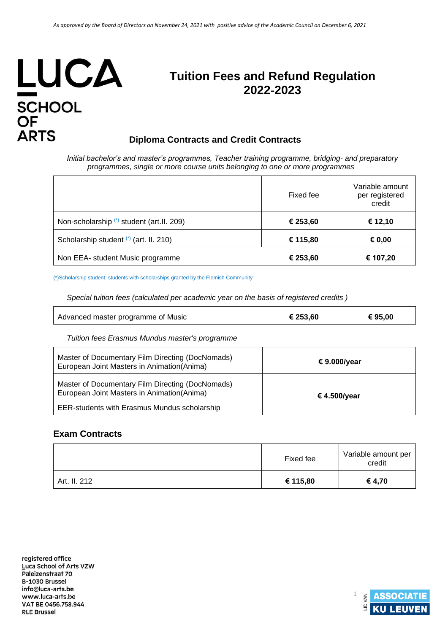# LUCA SCHOOL<br>OF<br>ARTS

# **Tuition Fees and Refund Regulation 2022**‐**2023**

## **Diploma Contracts and Credit Contracts**

*Initial bachelor's and master's programmes, Teacher training programme, bridging- and preparatory programmes, single or more course units belonging to one or more programmes*

|                                            | Fixed fee | Variable amount<br>per registered<br>credit |
|--------------------------------------------|-----------|---------------------------------------------|
| Non-scholarship (*) student (art. II. 209) | € 253,60  | € 12,10                                     |
| Scholarship student (*) (art. II. 210)     | € 115,80  | € 0,00                                      |
| Non EEA- student Music programme           | € 253,60  | € 107,20                                    |

(\*)Scholarship student: students with scholarships granted by the Flemish Community'

*Special tuition fees (calculated per academic year on the basis of registered credits )*

| Advanced master programme of Music | € 253,60 | € 95,00 |
|------------------------------------|----------|---------|
|------------------------------------|----------|---------|

*Tuition fees Erasmus Mundus master's programme* 

| Master of Documentary Film Directing (DocNomads)<br>European Joint Masters in Animation (Anima) | € 9.000/year |
|-------------------------------------------------------------------------------------------------|--------------|
| Master of Documentary Film Directing (DocNomads)<br>European Joint Masters in Animation (Anima) | € 4.500/year |
| <b>EER-students with Erasmus Mundus scholarship</b>                                             |              |

### **Exam Contracts**

|              | Fixed fee | Variable amount per<br>credit |
|--------------|-----------|-------------------------------|
| Art. II. 212 | € 115,80  | € 4,70                        |